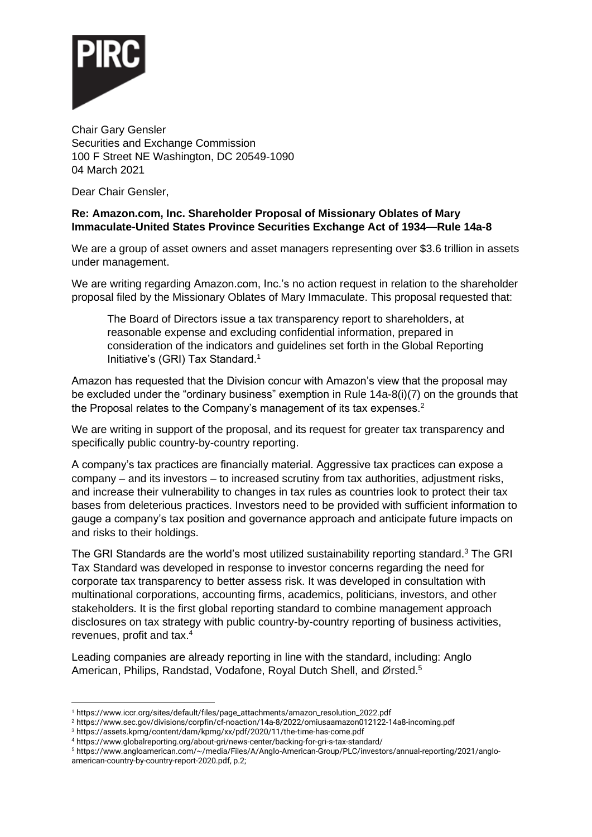

Chair Gary Gensler Securities and Exchange Commission 100 F Street NE Washington, DC 20549-1090 04 March 2021

Dear Chair Gensler,

## **Re: Amazon.com, Inc. Shareholder Proposal of Missionary Oblates of Mary Immaculate-United States Province Securities Exchange Act of 1934—Rule 14a-8**

We are a group of asset owners and asset managers representing over \$3.6 trillion in assets under management.

We are writing regarding Amazon.com, Inc.'s no action request in relation to the shareholder proposal filed by the Missionary Oblates of Mary Immaculate. This proposal requested that:

The Board of Directors issue a tax transparency report to shareholders, at reasonable expense and excluding confidential information, prepared in consideration of the indicators and guidelines set forth in the Global Reporting Initiative's (GRI) Tax Standard.<sup>1</sup>

Amazon has requested that the Division concur with Amazon's view that the proposal may be excluded under the "ordinary business" exemption in Rule 14a-8(i)(7) on the grounds that the Proposal relates to the Company's management of its tax expenses.<sup>2</sup>

We are writing in support of the proposal, and its request for greater tax transparency and specifically public country-by-country reporting.

A company's tax practices are financially material. Aggressive tax practices can expose a company – and its investors – to increased scrutiny from tax authorities, adjustment risks, and increase their vulnerability to changes in tax rules as countries look to protect their tax bases from deleterious practices. Investors need to be provided with sufficient information to gauge a company's tax position and governance approach and anticipate future impacts on and risks to their holdings.

The GRI Standards are the world's most utilized sustainability reporting standard.<sup>3</sup> The GRI Tax Standard was developed in response to investor concerns regarding the need for corporate tax transparency to better assess risk. It was developed in consultation with multinational corporations, accounting firms, academics, politicians, investors, and other stakeholders. It is the first global reporting standard to combine management approach disclosures on tax strategy with public country-by-country reporting of business activities, revenues, profit and tax.<sup>4</sup>

Leading companies are already reporting in line with the standard, including: Anglo American, Philips, Randstad, Vodafone, Royal Dutch Shell, and Ørsted.<sup>5</sup>

<sup>1</sup> https://www.iccr.org/sites/default/files/page\_attachments/amazon\_resolution\_2022.pdf

<sup>2</sup> https://www.sec.gov/divisions/corpfin/cf-noaction/14a-8/2022/omiusaamazon012122-14a8-incoming.pdf

<sup>3</sup> https://assets.kpmg/content/dam/kpmg/xx/pdf/2020/11/the-time-has-come.pdf

<sup>4</sup> https://www.globalreporting.org/about-gri/news-center/backing-for-gri-s-tax-standard/

<sup>5</sup> [https://www.angloamerican.com/~/media/Files/A/Anglo-American-Group/PLC/investors/annual-reporting/2021/anglo](https://www.angloamerican.com/~/media/Files/A/Anglo-American-Group/PLC/investors/annual-reporting/2021/anglo-american-country-by-country-report-2020.pdf)[american-country-by-country-report-2020.pdf,](https://www.angloamerican.com/~/media/Files/A/Anglo-American-Group/PLC/investors/annual-reporting/2021/anglo-american-country-by-country-report-2020.pdf) p.2;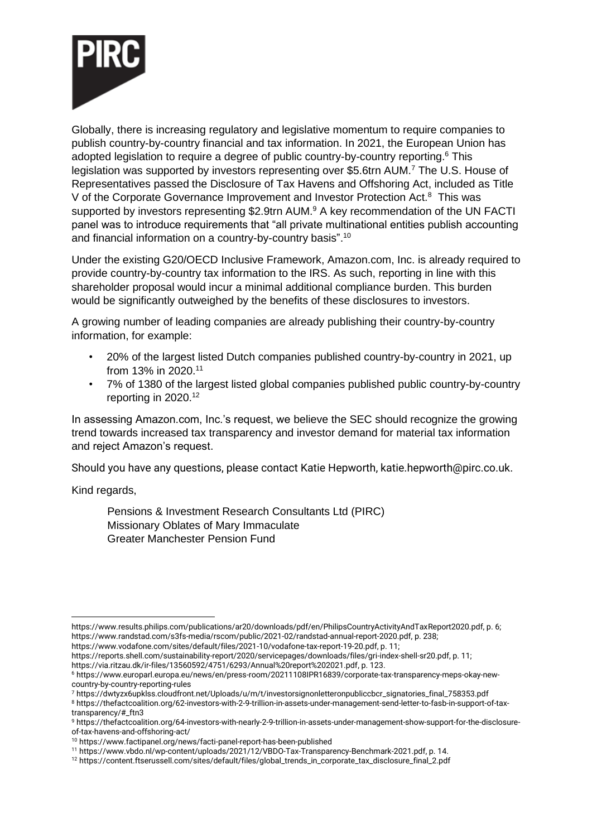

Globally, there is increasing regulatory and legislative momentum to require companies to publish country-by-country financial and tax information. In 2021, the European Union has adopted legislation to require a degree of public country-by-country reporting.<sup>6</sup> This legislation was supported by investors representing over \$5.6trn AUM.<sup>7</sup> The U.S. House of Representatives passed the Disclosure of Tax Havens and Offshoring Act, included as Title V of the Corporate Governance Improvement and Investor Protection Act.<sup>8</sup> This was supported by investors representing \$2.9trn AUM.<sup>9</sup> A key recommendation of the UN FACTI panel was to introduce requirements that "all private multinational entities publish accounting and financial information on a country-by-country basis".<sup>10</sup>

Under the existing G20/OECD Inclusive Framework, Amazon.com, Inc. is already required to provide country-by-country tax information to the IRS. As such, reporting in line with this shareholder proposal would incur a minimal additional compliance burden. This burden would be significantly outweighed by the benefits of these disclosures to investors.

A growing number of leading companies are already publishing their country-by-country information, for example:

- 20% of the largest listed Dutch companies published country-by-country in 2021, up from 13% in 2020.<sup>11</sup>
- 7% of 1380 of the largest listed global companies published public country-by-country reporting in 2020. 12

In assessing Amazon.com, Inc.'s request, we believe the SEC should recognize the growing trend towards increased tax transparency and investor demand for material tax information and reject Amazon's request.

Should you have any questions, please contact Katie Hepworth, katie.hepworth@pirc.co.uk.

Kind regards,

Pensions & Investment Research Consultants Ltd (PIRC) Missionary Oblates of Mary Immaculate Greater Manchester Pension Fund

[https://www.vodafone.com/sites/default/files/2021-10/vodafone-tax-report-19-20.pdf,](https://www.vodafone.com/sites/default/files/2021-10/vodafone-tax-report-19-20.pdf) p. 11;

https://www.results.philips.com/publications/ar20/downloads/pdf/en/PhilipsCountryActivityAndTaxReport2020.pdf, p. 6; [https://www.randstad.com/s3fs-media/rscom/public/2021-02/randstad-annual-report-2020.pdf,](https://www.randstad.com/s3fs-media/rscom/public/2021-02/randstad-annual-report-2020.pdf) p. 238;

[https://reports.shell.com/sustainability-report/2020/servicepages/downloads/files/gri-index-shell-sr20.pdf,](https://reports.shell.com/sustainability-report/2020/servicepages/downloads/files/gri-index-shell-sr20.pdf) p. 11;

[https://via.ritzau.dk/ir-files/13560592/4751/6293/Annual%20report%202021.pdf,](https://via.ritzau.dk/ir-files/13560592/4751/6293/Annual%20report%202021.pdf) p. 123.

<sup>6</sup> [https://www.europarl.europa.eu/news/en/press-room/20211108IPR16839/corporate-tax-transparency-meps-okay-new](https://www.europarl.europa.eu/news/en/press-room/20211108IPR16839/corporate-tax-transparency-meps-okay-new-country-by-country-reporting-rules)[country-by-country-reporting-rules](https://www.europarl.europa.eu/news/en/press-room/20211108IPR16839/corporate-tax-transparency-meps-okay-new-country-by-country-reporting-rules)

<sup>7</sup> [https://dwtyzx6upklss.cloudfront.net/Uploads/u/m/t/investorsignonletteronpubliccbcr\\_signatories\\_final\\_758353.pdf](https://dwtyzx6upklss.cloudfront.net/Uploads/u/m/t/investorsignonletteronpubliccbcr_signatories_final_758353.pdf) <sup>8</sup> [https://thefactcoalition.org/62-investors-with-2-9-trillion-in-assets-under-management-send-letter-to-fasb-in-support-of-tax](https://thefactcoalition.org/62-investors-with-2-9-trillion-in-assets-under-management-send-letter-to-fasb-in-support-of-tax-transparency/#_ftn3)[transparency/#\\_ftn3](https://thefactcoalition.org/62-investors-with-2-9-trillion-in-assets-under-management-send-letter-to-fasb-in-support-of-tax-transparency/#_ftn3)

<sup>9</sup> [https://thefactcoalition.org/64-investors-with-nearly-2-9-trillion-in-assets-under-management-show-support-for-the-disclosure](https://gbr01.safelinks.protection.outlook.com/?url=https%3A%2F%2Fthefactcoalition.org%2F64-investors-with-nearly-2-9-trillion-in-assets-under-management-show-support-for-the-disclosure-of-tax-havens-and-offshoring-act%2F&data=04%7C01%7Ckatie.hepworth%40pirc.co.uk%7Cf5036888ce884cb8e7d908d9f0e838c6%7C4be8979dcfa64c1c9aa28ba0807e1b6f%7C0%7C0%7C637805702437135314%7CUnknown%7CTWFpbGZsb3d8eyJWIjoiMC4wLjAwMDAiLCJQIjoiV2luMzIiLCJBTiI6Ik1haWwiLCJXVCI6Mn0%3D%7C3000&sdata=dqDoT83N7WVR8qpGRDDmaBrIPlpfftMcJ4xk6bTmtZc%3D&reserved=0)[of-tax-havens-and-offshoring-act/](https://gbr01.safelinks.protection.outlook.com/?url=https%3A%2F%2Fthefactcoalition.org%2F64-investors-with-nearly-2-9-trillion-in-assets-under-management-show-support-for-the-disclosure-of-tax-havens-and-offshoring-act%2F&data=04%7C01%7Ckatie.hepworth%40pirc.co.uk%7Cf5036888ce884cb8e7d908d9f0e838c6%7C4be8979dcfa64c1c9aa28ba0807e1b6f%7C0%7C0%7C637805702437135314%7CUnknown%7CTWFpbGZsb3d8eyJWIjoiMC4wLjAwMDAiLCJQIjoiV2luMzIiLCJBTiI6Ik1haWwiLCJXVCI6Mn0%3D%7C3000&sdata=dqDoT83N7WVR8qpGRDDmaBrIPlpfftMcJ4xk6bTmtZc%3D&reserved=0)

<sup>10</sup> <https://www.factipanel.org/news/facti-panel-report-has-been-published>

<sup>11</sup> [https://www.vbdo.nl/wp-content/uploads/2021/12/VBDO-Tax-Transparency-Benchmark-2021.pdf,](https://www.vbdo.nl/wp-content/uploads/2021/12/VBDO-Tax-Transparency-Benchmark-2021.pdf) p. 14.

<sup>12</sup> [https://content.ftserussell.com/sites/default/files/global\\_trends\\_in\\_corporate\\_tax\\_disclosure\\_final\\_2.pdf](https://content.ftserussell.com/sites/default/files/global_trends_in_corporate_tax_disclosure_final_2.pdf)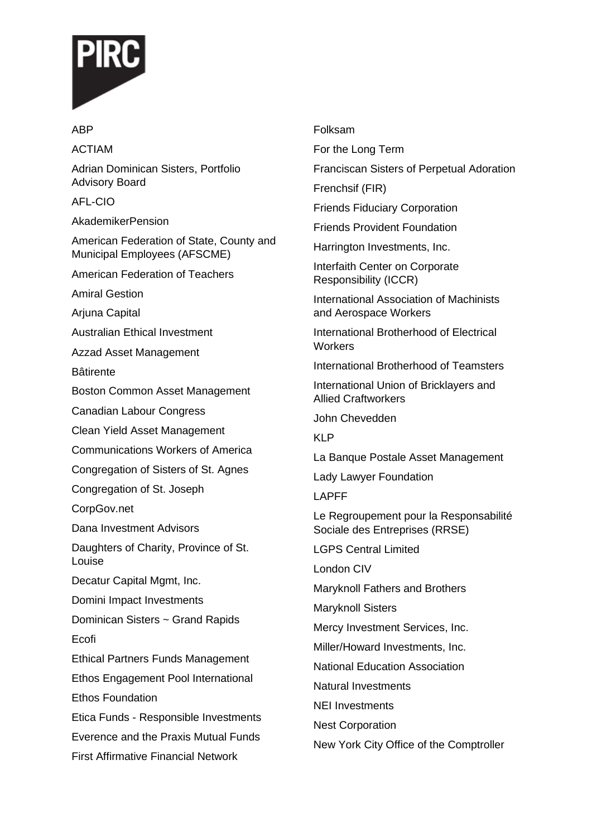

## ACTIAM

ABP

Adrian Dominican Sisters, Portfolio Advisory Board

AFL-CIO

AkademikerPension

American Federation of State, County and Municipal Employees (AFSCME)

American Federation of Teachers

Amiral Gestion

Arjuna Capital

Australian Ethical Investment

Azzad Asset Management

Bâtirente

Boston Common Asset Management

Canadian Labour Congress

Clean Yield Asset Management

Communications Workers of America

Congregation of Sisters of St. Agnes

Congregation of St. Joseph

CorpGov.net

Dana Investment Advisors

Daughters of Charity, Province of St. Louise

Decatur Capital Mgmt, Inc.

Domini Impact Investments

Dominican Sisters ~ Grand Rapids Ecofi

Ethical Partners Funds Management

Ethos Engagement Pool International Ethos Foundation

Etica Funds - Responsible Investments Everence and the Praxis Mutual Funds First Affirmative Financial Network

## Folksam

For the Long Term

Franciscan Sisters of Perpetual Adoration

Frenchsif (FIR)

Friends Fiduciary Corporation

Friends Provident Foundation

Harrington Investments, Inc.

Interfaith Center on Corporate Responsibility (ICCR)

International Association of Machinists and Aerospace Workers

International Brotherhood of Electrical **Workers** 

International Brotherhood of Teamsters

International Union of Bricklayers and Allied Craftworkers

John Chevedden

KLP

La Banque Postale Asset Management

Lady Lawyer Foundation

LAPFF

Le Regroupement pour la Responsabilité Sociale des Entreprises (RRSE)

LGPS Central Limited

London CIV

Maryknoll Fathers and Brothers

Maryknoll Sisters

Mercy Investment Services, Inc.

Miller/Howard Investments, Inc.

National Education Association

Natural Investments

NEI Investments

Nest Corporation

New York City Office of the Comptroller